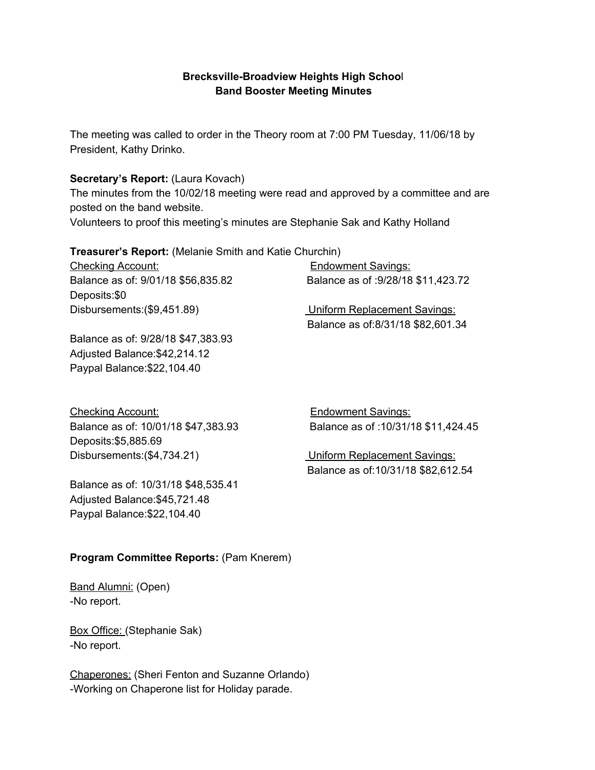# **Brecksville-Broadview Heights High Schoo**l **Band Booster Meeting Minutes**

The meeting was called to order in the Theory room at 7:00 PM Tuesday, 11/06/18 by President, Kathy Drinko.

## **Secretary's Report:** (Laura Kovach)

The minutes from the 10/02/18 meeting were read and approved by a committee and are posted on the band website.

Volunteers to proof this meeting's minutes are Stephanie Sak and Kathy Holland

**Treasurer's Report:** (Melanie Smith and Katie Churchin)

Checking Account: Endowment Savings: Balance as of: 9/01/18 \$56,835.82 Balance as of :9/28/18 \$11,423.72 Deposits:\$0 Disbursements:(\$9,451.89) Uniform Replacement Savings:

Balance as of:8/31/18 \$82,601.34

Balance as of: 9/28/18 \$47,383.93 Adjusted Balance:\$42,214.12 Paypal Balance:\$22,104.40

Checking Account: Endowment Savings: Deposits:\$5,885.69 Disbursements:(\$4,734.21) Uniform Replacement Savings:

Balance as of: 10/01/18 \$47,383.93 Balance as of :10/31/18 \$11,424.45

Balance as of:10/31/18 \$82,612.54

Balance as of: 10/31/18 \$48,535.41 Adjusted Balance:\$45,721.48 Paypal Balance:\$22,104.40

# **Program Committee Reports:** (Pam Knerem)

Band Alumni: (Open) -No report.

Box Office: (Stephanie Sak) -No report.

Chaperones: (Sheri Fenton and Suzanne Orlando) -Working on Chaperone list for Holiday parade.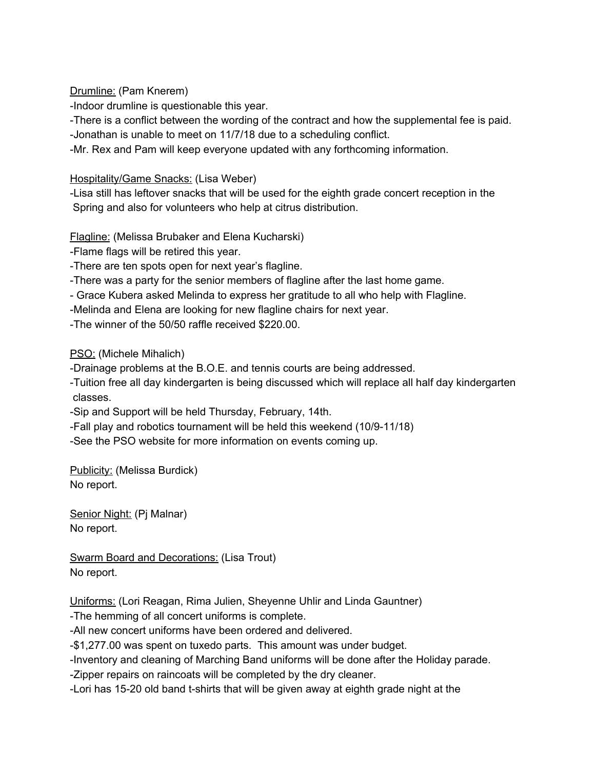Drumline: (Pam Knerem)

-Indoor drumline is questionable this year.

-There is a conflict between the wording of the contract and how the supplemental fee is paid.

-Jonathan is unable to meet on 11/7/18 due to a scheduling conflict.

-Mr. Rex and Pam will keep everyone updated with any forthcoming information.

Hospitality/Game Snacks: (Lisa Weber)

-Lisa still has leftover snacks that will be used for the eighth grade concert reception in the Spring and also for volunteers who help at citrus distribution.

Flagline: (Melissa Brubaker and Elena Kucharski)

-Flame flags will be retired this year.

-There are ten spots open for next year's flagline.

-There was a party for the senior members of flagline after the last home game.

- Grace Kubera asked Melinda to express her gratitude to all who help with Flagline.

-Melinda and Elena are looking for new flagline chairs for next year.

-The winner of the 50/50 raffle received \$220.00.

PSO: (Michele Mihalich)

-Drainage problems at the B.O.E. and tennis courts are being addressed.

-Tuition free all day kindergarten is being discussed which will replace all half day kindergarten classes.

-Sip and Support will be held Thursday, February, 14th.

-Fall play and robotics tournament will be held this weekend (10/9-11/18)

-See the PSO website for more information on events coming up.

Publicity: (Melissa Burdick) No report.

Senior Night: (Pj Malnar) No report.

Swarm Board and Decorations: (Lisa Trout) No report.

Uniforms: (Lori Reagan, Rima Julien, Sheyenne Uhlir and Linda Gauntner)

-The hemming of all concert uniforms is complete.

-All new concert uniforms have been ordered and delivered.

-\$1,277.00 was spent on tuxedo parts. This amount was under budget.

-Inventory and cleaning of Marching Band uniforms will be done after the Holiday parade.

-Zipper repairs on raincoats will be completed by the dry cleaner.

-Lori has 15-20 old band t-shirts that will be given away at eighth grade night at the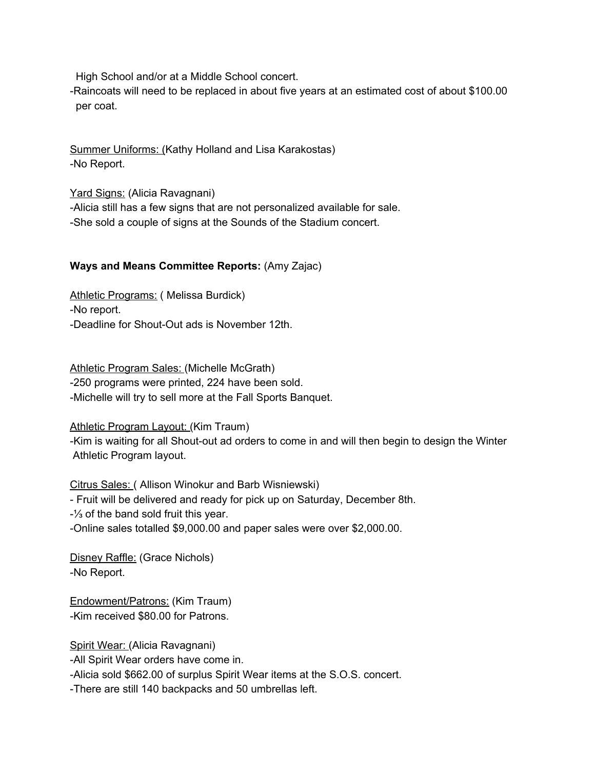High School and/or at a Middle School concert.

-Raincoats will need to be replaced in about five years at an estimated cost of about \$100.00 per coat.

Summer Uniforms: (Kathy Holland and Lisa Karakostas) -No Report.

Yard Signs: (Alicia Ravagnani) -Alicia still has a few signs that are not personalized available for sale. -She sold a couple of signs at the Sounds of the Stadium concert.

### **Ways and Means Committee Reports:** (Amy Zajac)

Athletic Programs: (Melissa Burdick) -No report. -Deadline for Shout-Out ads is November 12th.

Athletic Program Sales: (Michelle McGrath) -250 programs were printed, 224 have been sold. -Michelle will try to sell more at the Fall Sports Banquet.

#### Athletic Program Layout: (Kim Traum)

-Kim is waiting for all Shout-out ad orders to come in and will then begin to design the Winter Athletic Program layout.

Citrus Sales: ( Allison Winokur and Barb Wisniewski) - Fruit will be delivered and ready for pick up on Saturday, December 8th. -⅓ of the band sold fruit this year. -Online sales totalled \$9,000.00 and paper sales were over \$2,000.00.

Disney Raffle: (Grace Nichols) -No Report.

Endowment/Patrons: (Kim Traum) -Kim received \$80.00 for Patrons.

Spirit Wear: (Alicia Ravagnani)

-All Spirit Wear orders have come in.

-Alicia sold \$662.00 of surplus Spirit Wear items at the S.O.S. concert.

-There are still 140 backpacks and 50 umbrellas left.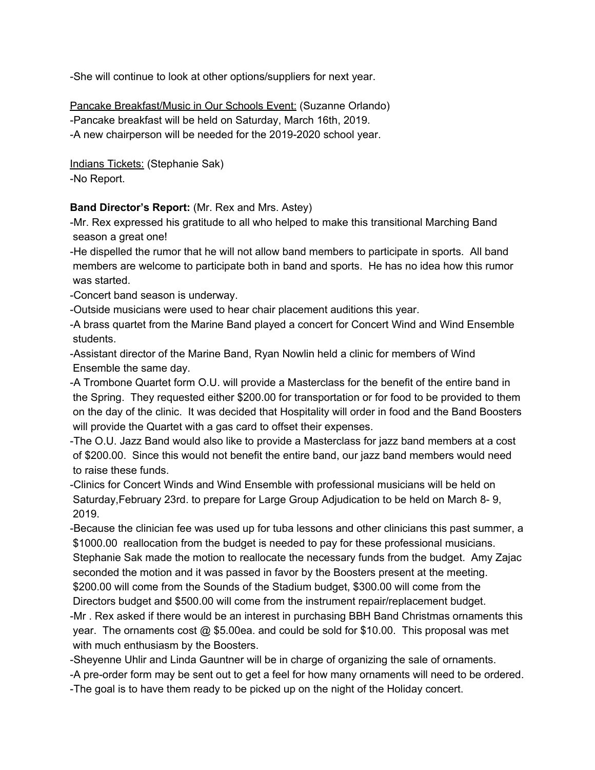-She will continue to look at other options/suppliers for next year.

Pancake Breakfast/Music in Our Schools Event: (Suzanne Orlando) -Pancake breakfast will be held on Saturday, March 16th, 2019. -A new chairperson will be needed for the 2019-2020 school year.

Indians Tickets: (Stephanie Sak) -No Report.

## **Band Director's Report:** (Mr. Rex and Mrs. Astey)

-Mr. Rex expressed his gratitude to all who helped to make this transitional Marching Band season a great one!

-He dispelled the rumor that he will not allow band members to participate in sports. All band members are welcome to participate both in band and sports. He has no idea how this rumor was started.

-Concert band season is underway.

-Outside musicians were used to hear chair placement auditions this year.

-A brass quartet from the Marine Band played a concert for Concert Wind and Wind Ensemble students.

-Assistant director of the Marine Band, Ryan Nowlin held a clinic for members of Wind Ensemble the same day.

-A Trombone Quartet form O.U. will provide a Masterclass for the benefit of the entire band in the Spring. They requested either \$200.00 for transportation or for food to be provided to them on the day of the clinic. It was decided that Hospitality will order in food and the Band Boosters will provide the Quartet with a gas card to offset their expenses.

-The O.U. Jazz Band would also like to provide a Masterclass for jazz band members at a cost of \$200.00. Since this would not benefit the entire band, our jazz band members would need to raise these funds.

-Clinics for Concert Winds and Wind Ensemble with professional musicians will be held on Saturday,February 23rd. to prepare for Large Group Adjudication to be held on March 8- 9, 2019.

-Because the clinician fee was used up for tuba lessons and other clinicians this past summer, a \$1000.00 reallocation from the budget is needed to pay for these professional musicians. Stephanie Sak made the motion to reallocate the necessary funds from the budget. Amy Zajac seconded the motion and it was passed in favor by the Boosters present at the meeting. \$200.00 will come from the Sounds of the Stadium budget, \$300.00 will come from the Directors budget and \$500.00 will come from the instrument repair/replacement budget.

-Mr . Rex asked if there would be an interest in purchasing BBH Band Christmas ornaments this year. The ornaments cost @ \$5.00ea. and could be sold for \$10.00. This proposal was met with much enthusiasm by the Boosters.

-Sheyenne Uhlir and Linda Gauntner will be in charge of organizing the sale of ornaments.

-A pre-order form may be sent out to get a feel for how many ornaments will need to be ordered.

-The goal is to have them ready to be picked up on the night of the Holiday concert.